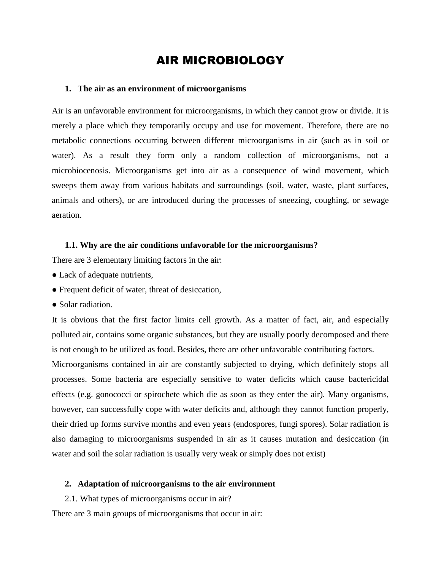# AIR MICROBIOLOGY

#### **1. The air as an environment of microorganisms**

Air is an unfavorable environment for microorganisms, in which they cannot grow or divide. It is merely a place which they temporarily occupy and use for movement. Therefore, there are no metabolic connections occurring between different microorganisms in air (such as in soil or water). As a result they form only a random collection of microorganisms, not a microbiocenosis. Microorganisms get into air as a consequence of wind movement, which sweeps them away from various habitats and surroundings (soil, water, waste, plant surfaces, animals and others), or are introduced during the processes of sneezing, coughing, or sewage aeration.

#### **1.1. Why are the air conditions unfavorable for the microorganisms?**

There are 3 elementary limiting factors in the air:

- Lack of adequate nutrients,
- Frequent deficit of water, threat of desiccation,
- Solar radiation.

It is obvious that the first factor limits cell growth. As a matter of fact, air, and especially polluted air, contains some organic substances, but they are usually poorly decomposed and there is not enough to be utilized as food. Besides, there are other unfavorable contributing factors.

Microorganisms contained in air are constantly subjected to drying, which definitely stops all processes. Some bacteria are especially sensitive to water deficits which cause bactericidal effects (e.g. gonococci or spirochete which die as soon as they enter the air). Many organisms, however, can successfully cope with water deficits and, although they cannot function properly, their dried up forms survive months and even years (endospores, fungi spores). Solar radiation is also damaging to microorganisms suspended in air as it causes mutation and desiccation (in water and soil the solar radiation is usually very weak or simply does not exist)

#### **2. Adaptation of microorganisms to the air environment**

2.1. What types of microorganisms occur in air?

There are 3 main groups of microorganisms that occur in air: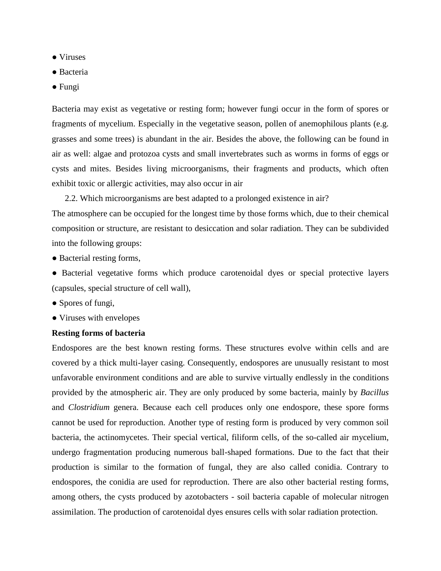- Viruses
- Bacteria
- Fungi

Bacteria may exist as vegetative or resting form; however fungi occur in the form of spores or fragments of mycelium. Especially in the vegetative season, pollen of anemophilous plants (e.g. grasses and some trees) is abundant in the air. Besides the above, the following can be found in air as well: algae and protozoa cysts and small invertebrates such as worms in forms of eggs or cysts and mites. Besides living microorganisms, their fragments and products, which often exhibit toxic or allergic activities, may also occur in air

2.2. Which microorganisms are best adapted to a prolonged existence in air?

The atmosphere can be occupied for the longest time by those forms which, due to their chemical composition or structure, are resistant to desiccation and solar radiation. They can be subdivided into the following groups:

- Bacterial resting forms,
- Bacterial vegetative forms which produce carotenoidal dyes or special protective layers (capsules, special structure of cell wall),
- Spores of fungi,
- Viruses with envelopes

# **Resting forms of bacteria**

Endospores are the best known resting forms. These structures evolve within cells and are covered by a thick multi-layer casing. Consequently, endospores are unusually resistant to most unfavorable environment conditions and are able to survive virtually endlessly in the conditions provided by the atmospheric air. They are only produced by some bacteria, mainly by *Bacillus*  and *Clostridium* genera. Because each cell produces only one endospore, these spore forms cannot be used for reproduction. Another type of resting form is produced by very common soil bacteria, the actinomycetes. Their special vertical, filiform cells, of the so-called air mycelium, undergo fragmentation producing numerous ball-shaped formations. Due to the fact that their production is similar to the formation of fungal, they are also called conidia. Contrary to endospores, the conidia are used for reproduction. There are also other bacterial resting forms, among others, the cysts produced by azotobacters - soil bacteria capable of molecular nitrogen assimilation. The production of carotenoidal dyes ensures cells with solar radiation protection.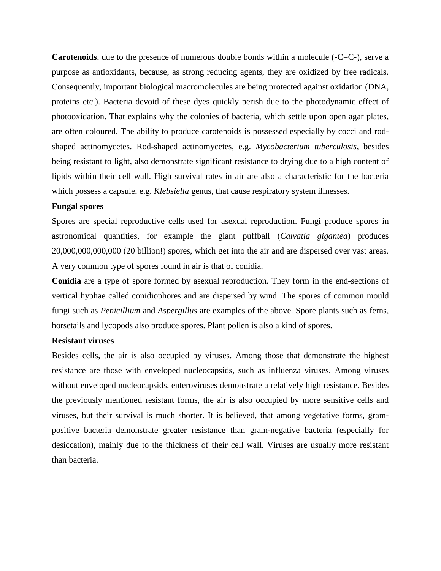**Carotenoids**, due to the presence of numerous double bonds within a molecule (-C=C-), serve a purpose as antioxidants, because, as strong reducing agents, they are oxidized by free radicals. Consequently, important biological macromolecules are being protected against oxidation (DNA, proteins etc.). Bacteria devoid of these dyes quickly perish due to the photodynamic effect of photooxidation. That explains why the colonies of bacteria, which settle upon open agar plates, are often coloured. The ability to produce carotenoids is possessed especially by cocci and rodshaped actinomycetes. Rod-shaped actinomycetes, e.g. *Mycobacterium tuberculosis*, besides being resistant to light, also demonstrate significant resistance to drying due to a high content of lipids within their cell wall. High survival rates in air are also a characteristic for the bacteria which possess a capsule, e.g. *Klebsiella* genus, that cause respiratory system illnesses.

# **Fungal spores**

Spores are special reproductive cells used for asexual reproduction. Fungi produce spores in astronomical quantities, for example the giant puffball (*Calvatia gigantea*) produces 20,000,000,000,000 (20 billion!) spores, which get into the air and are dispersed over vast areas. A very common type of spores found in air is that of conidia.

**Conidia** are a type of spore formed by asexual reproduction. They form in the end-sections of vertical hyphae called conidiophores and are dispersed by wind. The spores of common mould fungi such as *Penicillium* and *Aspergillus* are examples of the above. Spore plants such as ferns, horsetails and lycopods also produce spores. Plant pollen is also a kind of spores.

# **Resistant viruses**

Besides cells, the air is also occupied by viruses. Among those that demonstrate the highest resistance are those with enveloped nucleocapsids, such as influenza viruses. Among viruses without enveloped nucleocapsids, enteroviruses demonstrate a relatively high resistance. Besides the previously mentioned resistant forms, the air is also occupied by more sensitive cells and viruses, but their survival is much shorter. It is believed, that among vegetative forms, grampositive bacteria demonstrate greater resistance than gram-negative bacteria (especially for desiccation), mainly due to the thickness of their cell wall. Viruses are usually more resistant than bacteria.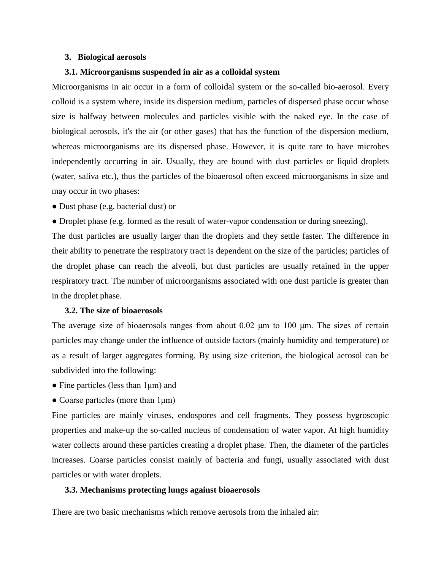#### **3. Biological aerosols**

# **3.1. Microorganisms suspended in air as a colloidal system**

Microorganisms in air occur in a form of colloidal system or the so-called bio-aerosol. Every colloid is a system where, inside its dispersion medium, particles of dispersed phase occur whose size is halfway between molecules and particles visible with the naked eye. In the case of biological aerosols, it's the air (or other gases) that has the function of the dispersion medium, whereas microorganisms are its dispersed phase. However, it is quite rare to have microbes independently occurring in air. Usually, they are bound with dust particles or liquid droplets (water, saliva etc.), thus the particles of the bioaerosol often exceed microorganisms in size and may occur in two phases:

- Dust phase (e.g. bacterial dust) or
- Droplet phase (e.g. formed as the result of water-vapor condensation or during sneezing).

The dust particles are usually larger than the droplets and they settle faster. The difference in their ability to penetrate the respiratory tract is dependent on the size of the particles; particles of the droplet phase can reach the alveoli, but dust particles are usually retained in the upper respiratory tract. The number of microorganisms associated with one dust particle is greater than in the droplet phase.

#### **3.2. The size of bioaerosols**

The average size of bioaerosols ranges from about 0.02 μm to 100 μm. The sizes of certain particles may change under the influence of outside factors (mainly humidity and temperature) or as a result of larger aggregates forming*.* By using size criterion, the biological aerosol can be subdivided into the following:

- $\bullet$  Fine particles (less than  $1\mu$ m) and
- $\bullet$  Coarse particles (more than  $1\mu$ m)

Fine particles are mainly viruses, endospores and cell fragments. They possess hygroscopic properties and make-up the so-called nucleus of condensation of water vapor. At high humidity water collects around these particles creating a droplet phase. Then, the diameter of the particles increases. Coarse particles consist mainly of bacteria and fungi, usually associated with dust particles or with water droplets.

## **3.3. Mechanisms protecting lungs against bioaerosols**

There are two basic mechanisms which remove aerosols from the inhaled air: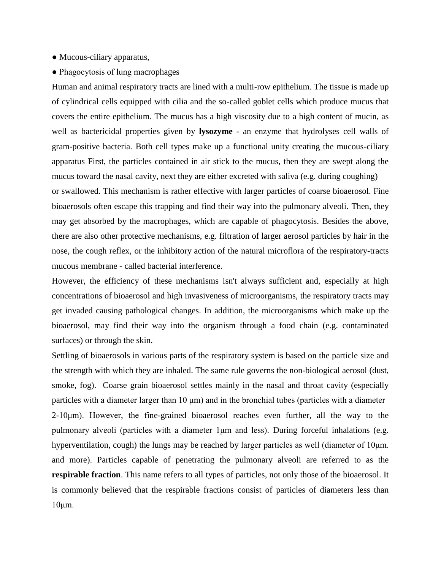- Mucous-ciliary apparatus,
- Phagocytosis of lung macrophages

Human and animal respiratory tracts are lined with a multi-row epithelium. The tissue is made up of cylindrical cells equipped with cilia and the so-called goblet cells which produce mucus that covers the entire epithelium. The mucus has a high viscosity due to a high content of mucin, as well as bactericidal properties given by **lysozyme** - an enzyme that hydrolyses cell walls of gram-positive bacteria. Both cell types make up a functional unity creating the mucous-ciliary apparatus First, the particles contained in air stick to the mucus, then they are swept along the mucus toward the nasal cavity, next they are either excreted with saliva (e.g. during coughing)

or swallowed. This mechanism is rather effective with larger particles of coarse bioaerosol. Fine bioaerosols often escape this trapping and find their way into the pulmonary alveoli. Then, they may get absorbed by the macrophages, which are capable of phagocytosis. Besides the above, there are also other protective mechanisms, e.g. filtration of larger aerosol particles by hair in the nose, the cough reflex, or the inhibitory action of the natural microflora of the respiratory-tracts mucous membrane - called bacterial interference.

However, the efficiency of these mechanisms isn't always sufficient and, especially at high concentrations of bioaerosol and high invasiveness of microorganisms, the respiratory tracts may get invaded causing pathological changes. In addition, the microorganisms which make up the bioaerosol, may find their way into the organism through a food chain (e.g. contaminated surfaces) or through the skin.

Settling of bioaerosols in various parts of the respiratory system is based on the particle size and the strength with which they are inhaled. The same rule governs the non-biological aerosol (dust, smoke, fog). Coarse grain bioaerosol settles mainly in the nasal and throat cavity (especially particles with a diameter larger than  $10 \mu m$ ) and in the bronchial tubes (particles with a diameter  $2-10\mu$ m). However, the fine-grained bioaerosol reaches even further, all the way to the pulmonary alveoli (particles with a diameter 1μm and less). During forceful inhalations (e.g. hyperventilation, cough) the lungs may be reached by larger particles as well (diameter of 10μm. and more). Particles capable of penetrating the pulmonary alveoli are referred to as the **respirable fraction**. This name refers to all types of particles, not only those of the bioaerosol. It is commonly believed that the respirable fractions consist of particles of diameters less than 10μm.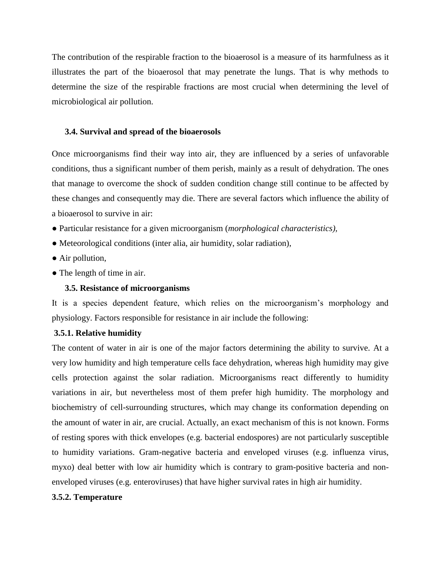The contribution of the respirable fraction to the bioaerosol is a measure of its harmfulness as it illustrates the part of the bioaerosol that may penetrate the lungs. That is why methods to determine the size of the respirable fractions are most crucial when determining the level of microbiological air pollution.

## **3.4. Survival and spread of the bioaerosols**

Once microorganisms find their way into air, they are influenced by a series of unfavorable conditions, thus a significant number of them perish, mainly as a result of dehydration. The ones that manage to overcome the shock of sudden condition change still continue to be affected by these changes and consequently may die. There are several factors which influence the ability of a bioaerosol to survive in air:

- Particular resistance for a given microorganism (*morphological characteristics),*
- Meteorological conditions (inter alia, air humidity, solar radiation),
- Air pollution,
- The length of time in air.

#### **3.5. Resistance of microorganisms**

It is a species dependent feature, which relies on the microorganism's morphology and physiology. Factors responsible for resistance in air include the following:

# **3.5.1. Relative humidity**

The content of water in air is one of the major factors determining the ability to survive. At a very low humidity and high temperature cells face dehydration, whereas high humidity may give cells protection against the solar radiation. Microorganisms react differently to humidity variations in air, but nevertheless most of them prefer high humidity. The morphology and biochemistry of cell-surrounding structures, which may change its conformation depending on the amount of water in air, are crucial. Actually, an exact mechanism of this is not known. Forms of resting spores with thick envelopes (e.g. bacterial endospores) are not particularly susceptible to humidity variations. Gram-negative bacteria and enveloped viruses (e.g. influenza virus, myxo) deal better with low air humidity which is contrary to gram-positive bacteria and nonenveloped viruses (e.g. enteroviruses) that have higher survival rates in high air humidity.

## **3.5.2. Temperature**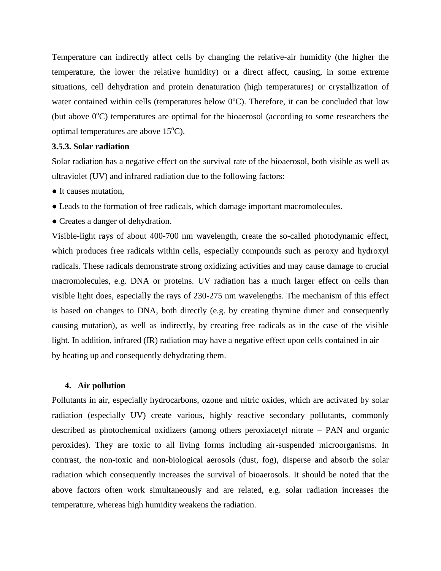Temperature can indirectly affect cells by changing the relative-air humidity (the higher the temperature, the lower the relative humidity) or a direct affect, causing, in some extreme situations, cell dehydration and protein denaturation (high temperatures) or crystallization of water contained within cells (temperatures below  $0^{\circ}$ C). Therefore, it can be concluded that low (but above  $0^{\circ}$ C) temperatures are optimal for the bioaerosol (according to some researchers the optimal temperatures are above  $15^{\circ}$ C).

# **3.5.3. Solar radiation**

Solar radiation has a negative effect on the survival rate of the bioaerosol, both visible as well as ultraviolet (UV) and infrared radiation due to the following factors:

- It causes mutation,
- Leads to the formation of free radicals, which damage important macromolecules*.*
- Creates a danger of dehydration.

Visible-light rays of about 400-700 nm wavelength, create the so-called photodynamic effect, which produces free radicals within cells, especially compounds such as peroxy and hydroxyl radicals. These radicals demonstrate strong oxidizing activities and may cause damage to crucial macromolecules, e.g. DNA or proteins. UV radiation has a much larger effect on cells than visible light does, especially the rays of 230-275 nm wavelengths. The mechanism of this effect is based on changes to DNA, both directly (e.g. by creating thymine dimer and consequently causing mutation), as well as indirectly, by creating free radicals as in the case of the visible light. In addition, infrared (IR) radiation may have a negative effect upon cells contained in air by heating up and consequently dehydrating them.

#### **4. Air pollution**

Pollutants in air, especially hydrocarbons, ozone and nitric oxides, which are activated by solar radiation (especially UV) create various, highly reactive secondary pollutants, commonly described as photochemical oxidizers (among others peroxiacetyl nitrate – PAN and organic peroxides). They are toxic to all living forms including air-suspended microorganisms. In contrast, the non-toxic and non-biological aerosols (dust, fog), disperse and absorb the solar radiation which consequently increases the survival of bioaerosols. It should be noted that the above factors often work simultaneously and are related, e.g. solar radiation increases the temperature, whereas high humidity weakens the radiation.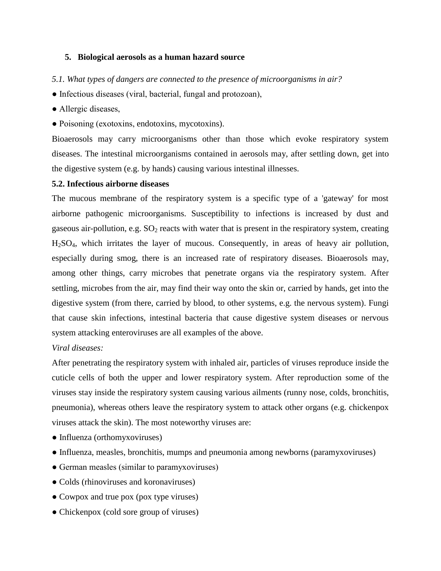# **5. Biological aerosols as a human hazard source**

- *5.1. What types of dangers are connected to the presence of microorganisms in air?*
- Infectious diseases (viral, bacterial, fungal and protozoan),
- Allergic diseases,
- Poisoning (exotoxins, endotoxins, mycotoxins).

Bioaerosols may carry microorganisms other than those which evoke respiratory system diseases. The intestinal microorganisms contained in aerosols may, after settling down, get into the digestive system (e.g. by hands) causing various intestinal illnesses.

# **5.2. Infectious airborne diseases**

The mucous membrane of the respiratory system is a specific type of a 'gateway' for most airborne pathogenic microorganisms. Susceptibility to infections is increased by dust and gaseous air-pollution, e.g.  $SO_2$  reacts with water that is present in the respiratory system, creating H2SO4, which irritates the layer of mucous. Consequently, in areas of heavy air pollution, especially during smog, there is an increased rate of respiratory diseases. Bioaerosols may, among other things, carry microbes that penetrate organs via the respiratory system. After settling, microbes from the air, may find their way onto the skin or, carried by hands, get into the digestive system (from there, carried by blood, to other systems, e.g. the nervous system). Fungi that cause skin infections, intestinal bacteria that cause digestive system diseases or nervous system attacking enteroviruses are all examples of the above.

# *Viral diseases:*

After penetrating the respiratory system with inhaled air, particles of viruses reproduce inside the cuticle cells of both the upper and lower respiratory system. After reproduction some of the viruses stay inside the respiratory system causing various ailments (runny nose, colds, bronchitis, pneumonia), whereas others leave the respiratory system to attack other organs (e.g. chickenpox viruses attack the skin). The most noteworthy viruses are:

- Influenza (orthomyxoviruses)
- Influenza, measles, bronchitis, mumps and pneumonia among newborns (paramyxoviruses)
- German measles (similar to paramyxoviruses)
- Colds (rhinoviruses and koronaviruses)
- Cowpox and true pox (pox type viruses)
- Chickenpox (cold sore group of viruses)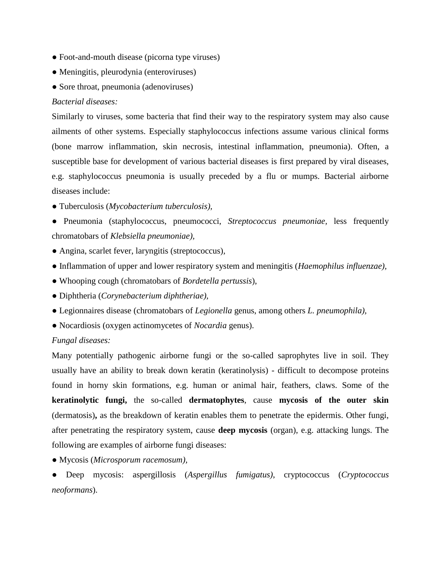- Foot-and-mouth disease (picorna type viruses)
- Meningitis, pleurodynia (enteroviruses)
- Sore throat, pneumonia (adenoviruses)

# *Bacterial diseases:*

Similarly to viruses, some bacteria that find their way to the respiratory system may also cause ailments of other systems. Especially staphylococcus infections assume various clinical forms (bone marrow inflammation, skin necrosis, intestinal inflammation, pneumonia). Often, a susceptible base for development of various bacterial diseases is first prepared by viral diseases, e.g. staphylococcus pneumonia is usually preceded by a flu or mumps. Bacterial airborne diseases include:

- Tuberculosis (*Mycobacterium tuberculosis),*
- Pneumonia (staphylococcus, pneumococci, *Streptococcus pneumoniae,* less frequently chromatobars of *Klebsiella pneumoniae),*
- Angina, scarlet fever, laryngitis (streptococcus)*,*
- Inflammation of upper and lower respiratory system and meningitis (*Haemophilus influenzae),*
- Whooping cough (chromatobars of *Bordetella pertussis*),
- Diphtheria (*Corynebacterium diphtheriae),*
- Legionnaires disease (chromatobars of *Legionella* genus, among others *L. pneumophila),*
- Nocardiosis (oxygen actinomycetes of *Nocardia* genus).

# *Fungal diseases:*

Many potentially pathogenic airborne fungi or the so-called saprophytes live in soil. They usually have an ability to break down keratin (keratinolysis) - difficult to decompose proteins found in horny skin formations, e.g. human or animal hair, feathers, claws. Some of the **keratinolytic fungi,** the so-called **dermatophytes**, cause **mycosis of the outer skin**  (dermatosis)**,** as the breakdown of keratin enables them to penetrate the epidermis. Other fungi, after penetrating the respiratory system, cause **deep mycosis** (organ), e.g. attacking lungs. The following are examples of airborne fungi diseases:

● Mycosis (*Microsporum racemosum),*

● Deep mycosis: aspergillosis (*Aspergillus fumigatus)*, cryptococcus (*Cryptococcus neoformans*).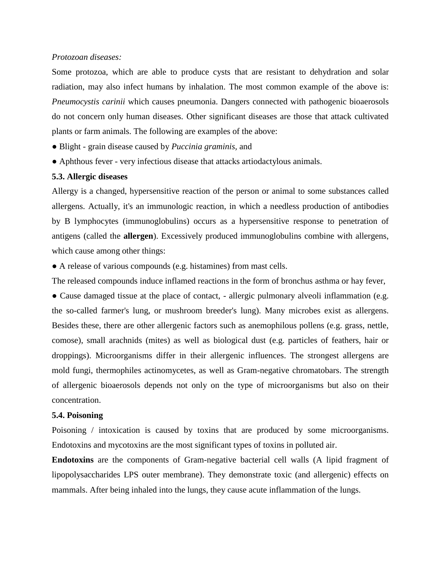# *Protozoan diseases:*

Some protozoa, which are able to produce cysts that are resistant to dehydration and solar radiation, may also infect humans by inhalation. The most common example of the above is: *Pneumocystis carinii* which causes pneumonia. Dangers connected with pathogenic bioaerosols do not concern only human diseases. Other significant diseases are those that attack cultivated plants or farm animals. The following are examples of the above:

- Blight grain disease caused by *Puccinia graminis,* and
- Aphthous fever very infectious disease that attacks artiodactylous animals.

## **5.3. Allergic diseases**

Allergy is a changed, hypersensitive reaction of the person or animal to some substances called allergens. Actually, it's an immunologic reaction, in which a needless production of antibodies by B lymphocytes (immunoglobulins) occurs as a hypersensitive response to penetration of antigens (called the **allergen**). Excessively produced immunoglobulins combine with allergens, which cause among other things:

● A release of various compounds (e.g. histamines) from mast cells.

The released compounds induce inflamed reactions in the form of bronchus asthma or hay fever,

• Cause damaged tissue at the place of contact, - allergic pulmonary alveoli inflammation (e.g. the so-called farmer's lung, or mushroom breeder's lung). Many microbes exist as allergens. Besides these, there are other allergenic factors such as anemophilous pollens (e.g. grass, nettle, comose), small arachnids (mites) as well as biological dust (e.g. particles of feathers, hair or droppings). Microorganisms differ in their allergenic influences. The strongest allergens are mold fungi, thermophiles actinomycetes, as well as Gram-negative chromatobars. The strength of allergenic bioaerosols depends not only on the type of microorganisms but also on their concentration.

#### **5.4. Poisoning**

Poisoning / intoxication is caused by toxins that are produced by some microorganisms. Endotoxins and mycotoxins are the most significant types of toxins in polluted air.

**Endotoxins** are the components of Gram-negative bacterial cell walls (A lipid fragment of lipopolysaccharides LPS outer membrane). They demonstrate toxic (and allergenic) effects on mammals. After being inhaled into the lungs, they cause acute inflammation of the lungs.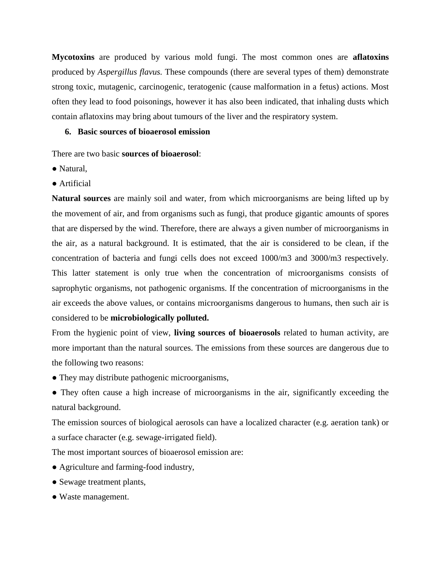**Mycotoxins** are produced by various mold fungi. The most common ones are **aflatoxins** produced by *Aspergillus flavus.* These compounds (there are several types of them) demonstrate strong toxic, mutagenic, carcinogenic, teratogenic (cause malformation in a fetus) actions. Most often they lead to food poisonings, however it has also been indicated, that inhaling dusts which contain aflatoxins may bring about tumours of the liver and the respiratory system.

# **6. Basic sources of bioaerosol emission**

There are two basic **sources of bioaerosol**:

- Natural.
- Artificial

**Natural sources** are mainly soil and water, from which microorganisms are being lifted up by the movement of air, and from organisms such as fungi, that produce gigantic amounts of spores that are dispersed by the wind. Therefore, there are always a given number of microorganisms in the air, as a natural background. It is estimated, that the air is considered to be clean, if the concentration of bacteria and fungi cells does not exceed 1000/m3 and 3000/m3 respectively. This latter statement is only true when the concentration of microorganisms consists of saprophytic organisms, not pathogenic organisms. If the concentration of microorganisms in the air exceeds the above values, or contains microorganisms dangerous to humans, then such air is considered to be **microbiologically polluted.**

From the hygienic point of view, **living sources of bioaerosols** related to human activity, are more important than the natural sources. The emissions from these sources are dangerous due to the following two reasons:

• They may distribute pathogenic microorganisms,

● They often cause a high increase of microorganisms in the air, significantly exceeding the natural background.

The emission sources of biological aerosols can have a localized character (e.g. aeration tank) or a surface character (e.g. sewage-irrigated field).

The most important sources of bioaerosol emission are:

- Agriculture and farming-food industry,
- Sewage treatment plants,
- Waste management.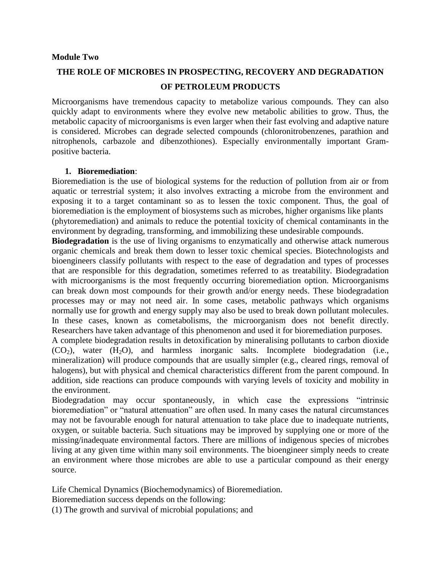# **Module Two**

# **THE ROLE OF MICROBES IN PROSPECTING, RECOVERY AND DEGRADATION**

# **OF PETROLEUM PRODUCTS**

Microorganisms have tremendous capacity to metabolize various compounds. They can also quickly adapt to environments where they evolve new metabolic abilities to grow. Thus, the metabolic capacity of microorganisms is even larger when their fast evolving and adaptive nature is considered. Microbes can degrade selected compounds (chloronitrobenzenes, parathion and nitrophenols, carbazole and dibenzothiones). Especially environmentally important Grampositive bacteria.

# **1. Bioremediation**:

Bioremediation is the use of biological systems for the reduction of pollution from air or from aquatic or terrestrial system; it also involves extracting a microbe from the environment and exposing it to a target contaminant so as to lessen the toxic component. Thus, the goal of bioremediation is the employment of biosystems such as microbes, higher organisms like plants (phytoremediation) and animals to reduce the potential toxicity of chemical contaminants in the environment by degrading, transforming, and immobilizing these undesirable compounds.

**Biodegradation** is the use of living organisms to enzymatically and otherwise attack numerous organic chemicals and break them down to lesser toxic chemical species. Biotechnologists and bioengineers classify pollutants with respect to the ease of degradation and types of processes that are responsible for this degradation, sometimes referred to as treatability. Biodegradation with microorganisms is the most frequently occurring bioremediation option. Microorganisms can break down most compounds for their growth and/or energy needs. These biodegradation processes may or may not need air. In some cases, metabolic pathways which organisms normally use for growth and energy supply may also be used to break down pollutant molecules. In these cases, known as cometabolisms, the microorganism does not benefit directly. Researchers have taken advantage of this phenomenon and used it for bioremediation purposes.

A complete biodegradation results in detoxification by mineralising pollutants to carbon dioxide  $(CO_2)$ , water  $(H_2O)$ , and harmless inorganic salts. Incomplete biodegradation (i.e., mineralization) will produce compounds that are usually simpler (e.g., cleared rings, removal of halogens), but with physical and chemical characteristics different from the parent compound. In addition, side reactions can produce compounds with varying levels of toxicity and mobility in the environment.

Biodegradation may occur spontaneously, in which case the expressions "intrinsic bioremediation" or "natural attenuation" are often used. In many cases the natural circumstances may not be favourable enough for natural attenuation to take place due to inadequate nutrients, oxygen, or suitable bacteria. Such situations may be improved by supplying one or more of the missing/inadequate environmental factors. There are millions of indigenous species of microbes living at any given time within many soil environments. The bioengineer simply needs to create an environment where those microbes are able to use a particular compound as their energy source.

Life Chemical Dynamics (Biochemodynamics) of Bioremediation.

Bioremediation success depends on the following:

(1) The growth and survival of microbial populations; and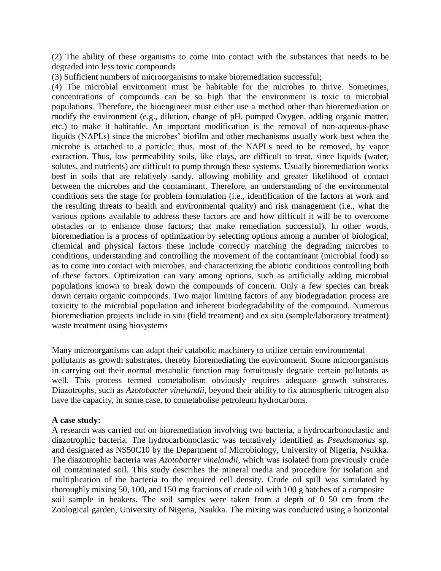(2) The ability of these organisms to come into contact with the substances that needs to be degraded into less toxic compounds

(3) Sufficient numbers of microorganisms to make bioremediation successful;

(4) The microbial environment must be habitable for the microbes to thrive. Sometimes, concentrations of compounds can be so high that the environment is toxic to microbial populations. Therefore, the bioengineer must either use a method other than bioremediation or modify the environment (e.g., dilution, change of pH, pumped Oxygen, adding organic matter, etc.) to make it habitable. An important modification is the removal of non-aqueous-phase liquids (NAPLs) since the microbes' biofilm and other mechanisms usually work best when the microbe is attached to a particle; thus, most of the NAPLs need to be removed, by vapor extraction. Thus, low permeability soils, like clays, are difficult to treat, since liquids (water, solutes, and nutrients) are difficult to pump through these systems. Usually bioremediation works best in soils that are relatively sandy, allowing mobility and greater likelihood of contact between the microbes and the contaminant. Therefore, an understanding of the environmental conditions sets the stage for problem formulation (i.e., identification of the factors at work and the resulting threats to health and environmental quality) and risk management (i.e., what the various options available to address these factors are and how difficult it will be to overcome obstacles or to enhance those factors; that make remediation successful). In other words, bioremediation is a process of optimization by selecting options among a number of biological, chemical and physical factors these include correctly matching the degrading microbes to conditions, understanding and controlling the movement of the contaminant (microbial food) so as to come into contact with microbes, and characterizing the abiotic conditions controlling both of these factors. Optimization can vary among options, such as artificially adding microbial populations known to break down the compounds of concern. Only a few species can break down certain organic compounds. Two major limiting factors of any biodegradation process are toxicity to the microbial population and inherent biodegradability of the compound. Numerous bioremediation projects include in situ (field treatment) and ex situ (sample/laboratory treatment) waste treatment using biosystems

Many microorganisms can adapt their catabolic machinery to utilize certain environmental pollutants as growth substrates, thereby bioremediating the environment. Some microorganisms in carrying out their normal metabolic function may fortuitously degrade certain pollutants as well. This process termed cometabolism obviously requires adequate growth substrates. Diazotrophs, such as *Azotobacter vinelandii*, beyond their ability to fix atmospheric nitrogen also have the capacity, in some case, to cometabolise petroleum hydrocarbons.

# **A case study:**

A research was carried out on bioremediation involving two bacteria, a hydrocarbonoclastic and diazotrophic bacteria. The hydrocarbonoclastic was tentatively identified as *Pseudomonas* sp. and designated as NS50C10 by the Department of Microbiology, University of Nigeria, Nsukka. The diazotrophic bacteria was *Azotobacter vinelandii*, which was isolated from previously crude oil contaminated soil. This study describes the mineral media and procedure for isolation and multiplication of the bacteria to the required cell density. Crude oil spill was simulated by thoroughly mixing 50, 100, and 150 mg fractions of crude oil with 100 g batches of a composite soil sample in beakers. The soil samples were taken from a depth of 0–50 cm from the Zoological garden, University of Nigeria, Nsukka. The mixing was conducted using a horizontal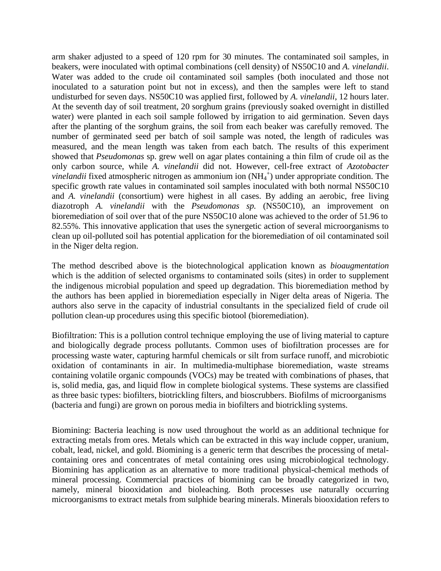arm shaker adjusted to a speed of 120 rpm for 30 minutes. The contaminated soil samples, in beakers, were inoculated with optimal combinations (cell density) of NS50C10 and *A. vinelandii*. Water was added to the crude oil contaminated soil samples (both inoculated and those not inoculated to a saturation point but not in excess), and then the samples were left to stand undisturbed for seven days. NS50C10 was applied first, followed by *A. vinelandii*, 12 hours later. At the seventh day of soil treatment, 20 sorghum grains (previously soaked overnight in distilled water) were planted in each soil sample followed by irrigation to aid germination. Seven days after the planting of the sorghum grains, the soil from each beaker was carefully removed. The number of germinated seed per batch of soil sample was noted, the length of radicules was measured, and the mean length was taken from each batch. The results of this experiment showed that *Pseudomonas* sp. grew well on agar plates containing a thin film of crude oil as the only carbon source, while *A. vinelandii* did not. However, cell-free extract of *Azotobacter vinelandii* fixed atmospheric nitrogen as ammonium ion (NH<sub>4</sub><sup>+</sup>) under appropriate condition. The specific growth rate values in contaminated soil samples inoculated with both normal NS50C10 and *A. vinelandii* (consortium) were highest in all cases. By adding an aerobic, free living diazotroph *A. vinelandii* with the *Pseudomonas sp.* (NS50C10), an improvement on bioremediation of soil over that of the pure NS50C10 alone was achieved to the order of 51.96 to 82.55%. This innovative application that uses the synergetic action of several microorganisms to clean up oil-polluted soil has potential application for the bioremediation of oil contaminated soil in the Niger delta region.

The method described above is the biotechnological application known as *bioaugmentation*  which is the addition of selected organisms to contaminated soils (sites) in order to supplement the indigenous microbial population and speed up degradation. This bioremediation method by the authors has been applied in bioremediation especially in Niger delta areas of Nigeria. The authors also serve in the capacity of industrial consultants in the specialized field of crude oil pollution clean-up procedures using this specific biotool (bioremediation).

Biofiltration: This is a pollution control technique employing the use of living material to capture and biologically degrade process pollutants. Common uses of biofiltration processes are for processing waste water, capturing harmful chemicals or silt from surface runoff, and microbiotic oxidation of contaminants in air. In multimedia-multiphase bioremediation, waste streams containing volatile organic compounds (VOCs) may be treated with combinations of phases, that is, solid media, gas, and liquid flow in complete biological systems. These systems are classified as three basic types: biofilters, biotrickling filters, and bioscrubbers. Biofilms of microorganisms (bacteria and fungi) are grown on porous media in biofilters and biotrickling systems.

Biomining: Bacteria leaching is now used throughout the world as an additional technique for extracting metals from ores. Metals which can be extracted in this way include copper, uranium, cobalt, lead, nickel, and gold. Biomining is a generic term that describes the processing of metalcontaining ores and concentrates of metal containing ores using microbiological technology. Biomining has application as an alternative to more traditional physical-chemical methods of mineral processing. Commercial practices of biomining can be broadly categorized in two, namely, mineral biooxidation and bioleaching. Both processes use naturally occurring microorganisms to extract metals from sulphide bearing minerals. Minerals biooxidation refers to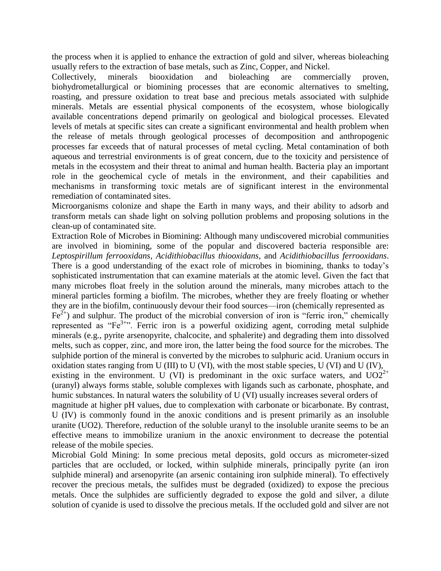the process when it is applied to enhance the extraction of gold and silver, whereas bioleaching usually refers to the extraction of base metals, such as Zinc, Copper, and Nickel.

Collectively, minerals biooxidation and bioleaching are commercially proven, biohydrometallurgical or biomining processes that are economic alternatives to smelting, roasting, and pressure oxidation to treat base and precious metals associated with sulphide minerals. Metals are essential physical components of the ecosystem, whose biologically available concentrations depend primarily on geological and biological processes. Elevated levels of metals at specific sites can create a significant environmental and health problem when the release of metals through geological processes of decomposition and anthropogenic processes far exceeds that of natural processes of metal cycling. Metal contamination of both aqueous and terrestrial environments is of great concern, due to the toxicity and persistence of metals in the ecosystem and their threat to animal and human health. Bacteria play an important role in the geochemical cycle of metals in the environment, and their capabilities and mechanisms in transforming toxic metals are of significant interest in the environmental remediation of contaminated sites.

Microorganisms colonize and shape the Earth in many ways, and their ability to adsorb and transform metals can shade light on solving pollution problems and proposing solutions in the clean-up of contaminated site.

Extraction Role of Microbes in Biomining: Although many undiscovered microbial communities are involved in biomining, some of the popular and discovered bacteria responsible are: *Leptospirillum ferrooxidans*, *Acidithiobacillus thiooxidans,* and *Acidithiobacillus ferrooxidans*. There is a good understanding of the exact role of microbes in biomining, thanks to today's sophisticated instrumentation that can examine materials at the atomic level. Given the fact that many microbes float freely in the solution around the minerals, many microbes attach to the mineral particles forming a biofilm. The microbes, whether they are freely floating or whether they are in the biofilm, continuously devour their food sources—iron (chemically represented as  $Fe<sup>2+</sup>$ ) and sulphur. The product of the microbial conversion of iron is "ferric iron," chemically represented as "Fe<sup>3+</sup>". Ferric iron is a powerful oxidizing agent, corroding metal sulphide minerals (e.g., pyrite arsenopyrite, chalcocite, and sphalerite) and degrading them into dissolved melts, such as copper, zinc, and more iron, the latter being the food source for the microbes. The sulphide portion of the mineral is converted by the microbes to sulphuric acid. Uranium occurs in oxidation states ranging from U (III) to U (VI), with the most stable species, U (VI) and U (IV), existing in the environment. U (VI) is predominant in the oxic surface waters, and  $UO2^{2+}$ (uranyl) always forms stable, soluble complexes with ligands such as carbonate, phosphate, and humic substances. In natural waters the solubility of U (VI) usually increases several orders of magnitude at higher pH values, due to complexation with carbonate or bicarbonate. By contrast, U (IV) is commonly found in the anoxic conditions and is present primarily as an insoluble uranite (UO2). Therefore, reduction of the soluble uranyl to the insoluble uranite seems to be an effective means to immobilize uranium in the anoxic environment to decrease the potential release of the mobile species.

Microbial Gold Mining: In some precious metal deposits, gold occurs as micrometer-sized particles that are occluded, or locked, within sulphide minerals, principally pyrite (an iron sulphide mineral) and arsenopyrite (an arsenic containing iron sulphide mineral). To effectively recover the precious metals, the sulfides must be degraded (oxidized) to expose the precious metals. Once the sulphides are sufficiently degraded to expose the gold and silver, a dilute solution of cyanide is used to dissolve the precious metals. If the occluded gold and silver are not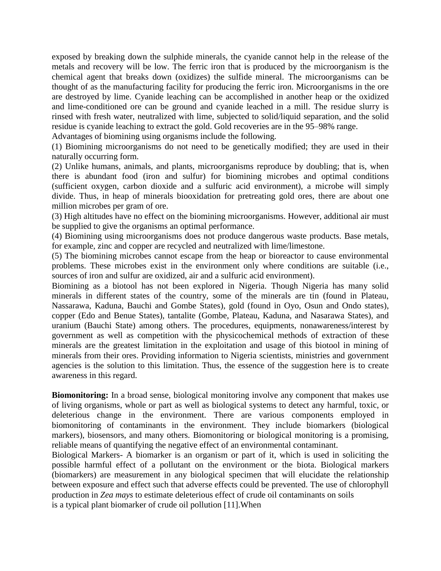exposed by breaking down the sulphide minerals, the cyanide cannot help in the release of the metals and recovery will be low. The ferric iron that is produced by the microorganism is the chemical agent that breaks down (oxidizes) the sulfide mineral. The microorganisms can be thought of as the manufacturing facility for producing the ferric iron. Microorganisms in the ore are destroyed by lime. Cyanide leaching can be accomplished in another heap or the oxidized and lime-conditioned ore can be ground and cyanide leached in a mill. The residue slurry is rinsed with fresh water, neutralized with lime, subjected to solid/liquid separation, and the solid residue is cyanide leaching to extract the gold. Gold recoveries are in the 95–98% range.

Advantages of biomining using organisms include the following.

(1) Biomining microorganisms do not need to be genetically modified; they are used in their naturally occurring form.

(2) Unlike humans, animals, and plants, microorganisms reproduce by doubling; that is, when there is abundant food (iron and sulfur) for biomining microbes and optimal conditions (sufficient oxygen, carbon dioxide and a sulfuric acid environment), a microbe will simply divide. Thus, in heap of minerals biooxidation for pretreating gold ores, there are about one million microbes per gram of ore.

(3) High altitudes have no effect on the biomining microorganisms. However, additional air must be supplied to give the organisms an optimal performance.

(4) Biomining using microorganisms does not produce dangerous waste products. Base metals, for example, zinc and copper are recycled and neutralized with lime/limestone.

(5) The biomining microbes cannot escape from the heap or bioreactor to cause environmental problems. These microbes exist in the environment only where conditions are suitable (i.e., sources of iron and sulfur are oxidized, air and a sulfuric acid environment).

Biomining as a biotool has not been explored in Nigeria. Though Nigeria has many solid minerals in different states of the country, some of the minerals are tin (found in Plateau, Nassarawa, Kaduna, Bauchi and Gombe States), gold (found in Oyo, Osun and Ondo states), copper (Edo and Benue States), tantalite (Gombe, Plateau, Kaduna, and Nasarawa States), and uranium (Bauchi State) among others. The procedures, equipments, nonawareness/interest by government as well as competition with the physicochemical methods of extraction of these minerals are the greatest limitation in the exploitation and usage of this biotool in mining of minerals from their ores. Providing information to Nigeria scientists, ministries and government agencies is the solution to this limitation. Thus, the essence of the suggestion here is to create awareness in this regard.

**Biomonitoring:** In a broad sense, biological monitoring involve any component that makes use of living organisms, whole or part as well as biological systems to detect any harmful, toxic, or deleterious change in the environment. There are various components employed in biomonitoring of contaminants in the environment. They include biomarkers (biological markers), biosensors, and many others. Biomonitoring or biological monitoring is a promising, reliable means of quantifying the negative effect of an environmental contaminant.

Biological Markers- A biomarker is an organism or part of it, which is used in soliciting the possible harmful effect of a pollutant on the environment or the biota. Biological markers (biomarkers) are measurement in any biological specimen that will elucidate the relationship between exposure and effect such that adverse effects could be prevented. The use of chlorophyll production in *Zea mays* to estimate deleterious effect of crude oil contaminants on soils is a typical plant biomarker of crude oil pollution [11].When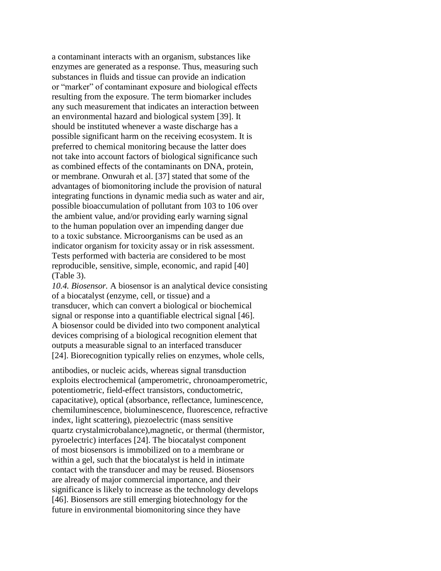a contaminant interacts with an organism, substances like enzymes are generated as a response. Thus, measuring such substances in fluids and tissue can provide an indication or "marker" of contaminant exposure and biological effects resulting from the exposure. The term biomarker includes any such measurement that indicates an interaction between an environmental hazard and biological system [39]. It should be instituted whenever a waste discharge has a possible significant harm on the receiving ecosystem. It is preferred to chemical monitoring because the latter does not take into account factors of biological significance such as combined effects of the contaminants on DNA, protein, or membrane. Onwurah et al. [37] stated that some of the advantages of biomonitoring include the provision of natural integrating functions in dynamic media such as water and air, possible bioaccumulation of pollutant from 103 to 106 over the ambient value, and/or providing early warning signal to the human population over an impending danger due to a toxic substance. Microorganisms can be used as an indicator organism for toxicity assay or in risk assessment. Tests performed with bacteria are considered to be most reproducible, sensitive, simple, economic, and rapid [40] (Table 3).

*10.4. Biosensor.* A biosensor is an analytical device consisting of a biocatalyst (enzyme, cell, or tissue) and a transducer, which can convert a biological or biochemical signal or response into a quantifiable electrical signal [46]. A biosensor could be divided into two component analytical devices comprising of a biological recognition element that outputs a measurable signal to an interfaced transducer [24]. Biorecognition typically relies on enzymes, whole cells,

antibodies, or nucleic acids, whereas signal transduction exploits electrochemical (amperometric, chronoamperometric, potentiometric, field-effect transistors, conductometric, capacitative), optical (absorbance, reflectance, luminescence, chemiluminescence, bioluminescence, fluorescence, refractive index, light scattering), piezoelectric (mass sensitive quartz crystalmicrobalance),magnetic, or thermal (thermistor, pyroelectric) interfaces [24]. The biocatalyst component of most biosensors is immobilized on to a membrane or within a gel, such that the biocatalyst is held in intimate contact with the transducer and may be reused. Biosensors are already of major commercial importance, and their significance is likely to increase as the technology develops [46]. Biosensors are still emerging biotechnology for the future in environmental biomonitoring since they have